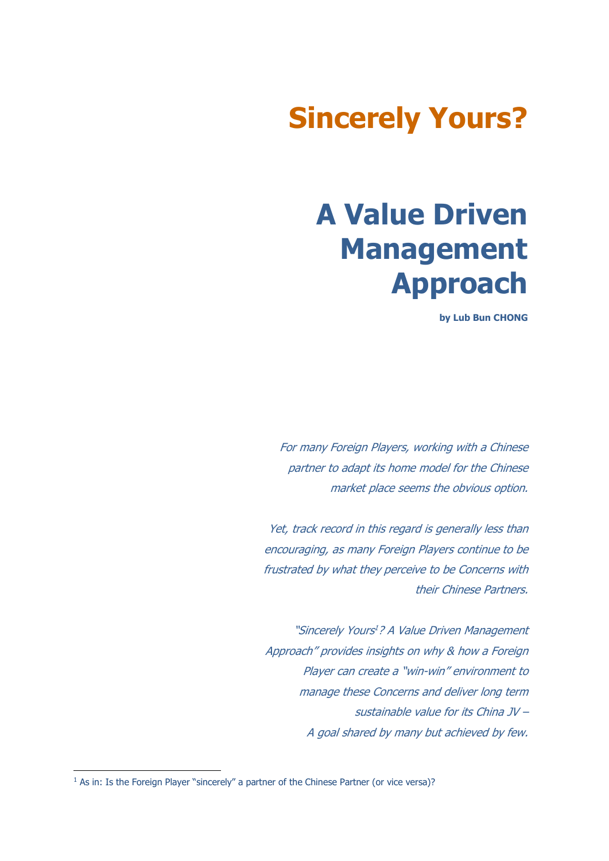## Sincerely Yours?

## A Value Driven Management Approach

by Lub Bun CHONG

For many Foreign Players, working with a Chinese partner to adapt its home model for the Chinese market place seems the obvious option.

Yet, track record in this regard is generally less than encouraging, as many Foreign Players continue to be frustrated by what they perceive to be Concerns with their Chinese Partners.

"Sincerely Yours<sup>1</sup>? A Value Driven Management Approach" provides insights on why & how a Foreign Player can create a "win-win" environment to manage these Concerns and deliver long term sustainable value for its China JV – A goal shared by many but achieved by few.

-

<sup>&</sup>lt;sup>1</sup> As in: Is the Foreign Player "sincerely" a partner of the Chinese Partner (or vice versa)?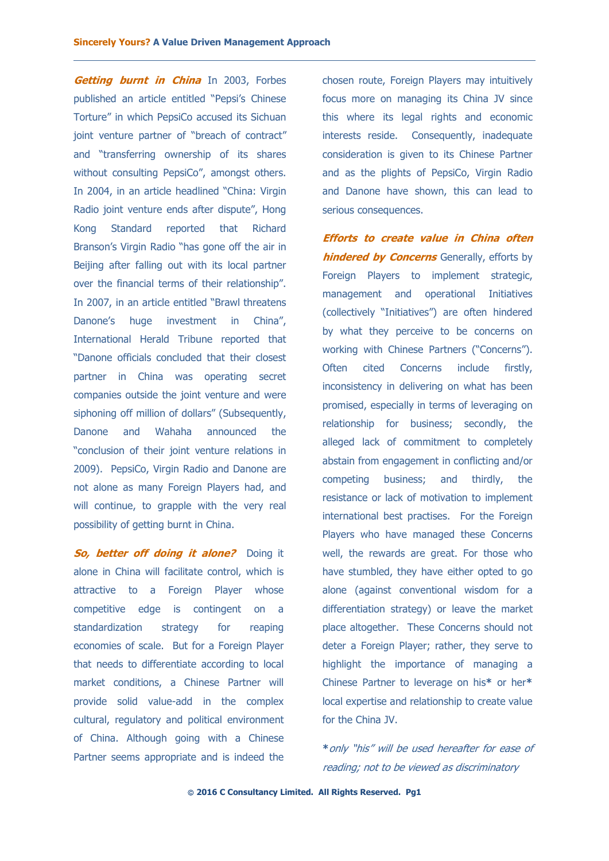Getting burnt in China In 2003, Forbes published an article entitled "Pepsi's Chinese Torture" in which PepsiCo accused its Sichuan joint venture partner of "breach of contract" and "transferring ownership of its shares without consulting PepsiCo", amongst others. In 2004, in an article headlined "China: Virgin Radio joint venture ends after dispute", Hong Kong Standard reported that Richard Branson's Virgin Radio "has gone off the air in Beijing after falling out with its local partner over the financial terms of their relationship". In 2007, in an article entitled "Brawl threatens Danone's huge investment in China", International Herald Tribune reported that "Danone officials concluded that their closest partner in China was operating secret companies outside the joint venture and were siphoning off million of dollars" (Subsequently, Danone and Wahaha announced the "conclusion of their joint venture relations in 2009). PepsiCo, Virgin Radio and Danone are not alone as many Foreign Players had, and will continue, to grapple with the very real possibility of getting burnt in China.

So, better off doing it alone? Doing it alone in China will facilitate control, which is attractive to a Foreign Player whose competitive edge is contingent on a standardization strategy for reaping economies of scale. But for a Foreign Player that needs to differentiate according to local market conditions, a Chinese Partner will provide solid value-add in the complex cultural, regulatory and political environment of China. Although going with a Chinese Partner seems appropriate and is indeed the

chosen route, Foreign Players may intuitively focus more on managing its China JV since this where its legal rights and economic interests reside. Consequently, inadequate consideration is given to its Chinese Partner and as the plights of PepsiCo, Virgin Radio and Danone have shown, this can lead to serious consequences.

Efforts to create value in China often **hindered by Concerns** Generally, efforts by Foreign Players to implement strategic, management and operational Initiatives (collectively "Initiatives") are often hindered by what they perceive to be concerns on working with Chinese Partners ("Concerns"). Often cited Concerns include firstly, inconsistency in delivering on what has been promised, especially in terms of leveraging on relationship for business; secondly, the alleged lack of commitment to completely abstain from engagement in conflicting and/or competing business; and thirdly, the resistance or lack of motivation to implement international best practises. For the Foreign Players who have managed these Concerns well, the rewards are great. For those who have stumbled, they have either opted to go alone (against conventional wisdom for a differentiation strategy) or leave the market place altogether. These Concerns should not deter a Foreign Player; rather, they serve to highlight the importance of managing a Chinese Partner to leverage on his\* or her\* local expertise and relationship to create value for the China JV.

\*only "his" will be used hereafter for ease of reading; not to be viewed as discriminatory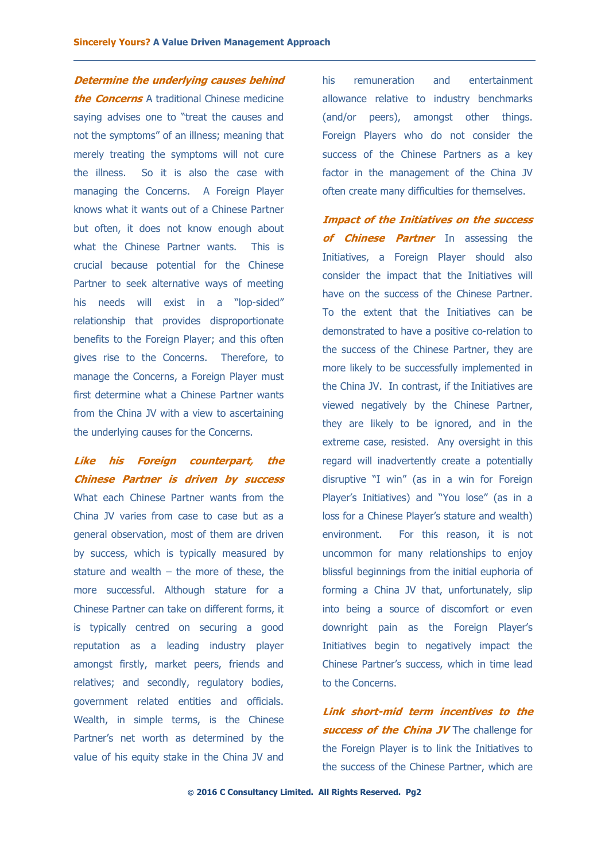Determine the underlying causes behind **the Concerns** A traditional Chinese medicine saying advises one to "treat the causes and not the symptoms" of an illness; meaning that merely treating the symptoms will not cure the illness. So it is also the case with managing the Concerns. A Foreign Player knows what it wants out of a Chinese Partner but often, it does not know enough about what the Chinese Partner wants. This is crucial because potential for the Chinese Partner to seek alternative ways of meeting his needs will exist in a "lop-sided" relationship that provides disproportionate benefits to the Foreign Player; and this often gives rise to the Concerns. Therefore, to manage the Concerns, a Foreign Player must first determine what a Chinese Partner wants from the China JV with a view to ascertaining the underlying causes for the Concerns.

Like his Foreign counterpart, the Chinese Partner is driven by success What each Chinese Partner wants from the China JV varies from case to case but as a general observation, most of them are driven by success, which is typically measured by stature and wealth  $-$  the more of these, the more successful. Although stature for a Chinese Partner can take on different forms, it is typically centred on securing a good reputation as a leading industry player amongst firstly, market peers, friends and relatives; and secondly, regulatory bodies, government related entities and officials. Wealth, in simple terms, is the Chinese Partner's net worth as determined by the value of his equity stake in the China JV and his remuneration and entertainment allowance relative to industry benchmarks (and/or peers), amongst other things. Foreign Players who do not consider the success of the Chinese Partners as a key factor in the management of the China JV often create many difficulties for themselves.

Impact of the Initiatives on the success of **Chinese Partner** In assessing the Initiatives, a Foreign Player should also consider the impact that the Initiatives will have on the success of the Chinese Partner. To the extent that the Initiatives can be demonstrated to have a positive co-relation to the success of the Chinese Partner, they are more likely to be successfully implemented in the China JV. In contrast, if the Initiatives are viewed negatively by the Chinese Partner, they are likely to be ignored, and in the extreme case, resisted. Any oversight in this regard will inadvertently create a potentially disruptive "I win" (as in a win for Foreign Player's Initiatives) and "You lose" (as in a loss for a Chinese Player's stature and wealth) environment. For this reason, it is not uncommon for many relationships to enjoy blissful beginnings from the initial euphoria of forming a China JV that, unfortunately, slip into being a source of discomfort or even downright pain as the Foreign Player's Initiatives begin to negatively impact the Chinese Partner's success, which in time lead to the Concerns.

Link short-mid term incentives to the **success of the China JV** The challenge for the Foreign Player is to link the Initiatives to the success of the Chinese Partner, which are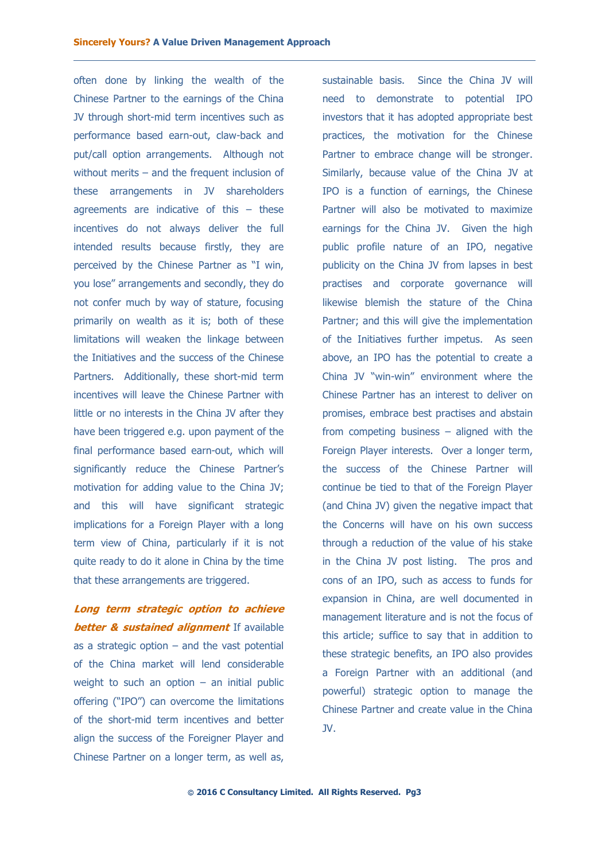often done by linking the wealth of the Chinese Partner to the earnings of the China JV through short-mid term incentives such as performance based earn-out, claw-back and put/call option arrangements. Although not without merits – and the frequent inclusion of these arrangements in JV shareholders agreements are indicative of this – these incentives do not always deliver the full intended results because firstly, they are perceived by the Chinese Partner as "I win, you lose" arrangements and secondly, they do not confer much by way of stature, focusing primarily on wealth as it is; both of these limitations will weaken the linkage between the Initiatives and the success of the Chinese Partners. Additionally, these short-mid term incentives will leave the Chinese Partner with little or no interests in the China JV after they have been triggered e.g. upon payment of the final performance based earn-out, which will significantly reduce the Chinese Partner's motivation for adding value to the China JV; and this will have significant strategic implications for a Foreign Player with a long term view of China, particularly if it is not quite ready to do it alone in China by the time that these arrangements are triggered.

Long term strategic option to achieve **better & sustained alignment** If available as a strategic option  $-$  and the vast potential of the China market will lend considerable weight to such an option  $-$  an initial public offering ("IPO") can overcome the limitations of the short-mid term incentives and better align the success of the Foreigner Player and Chinese Partner on a longer term, as well as,

sustainable basis. Since the China JV will need to demonstrate to potential IPO investors that it has adopted appropriate best practices, the motivation for the Chinese Partner to embrace change will be stronger. Similarly, because value of the China JV at IPO is a function of earnings, the Chinese Partner will also be motivated to maximize earnings for the China JV. Given the high public profile nature of an IPO, negative publicity on the China JV from lapses in best practises and corporate governance will likewise blemish the stature of the China Partner; and this will give the implementation of the Initiatives further impetus. As seen above, an IPO has the potential to create a China JV "win-win" environment where the Chinese Partner has an interest to deliver on promises, embrace best practises and abstain from competing business – aligned with the Foreign Player interests. Over a longer term, the success of the Chinese Partner will continue be tied to that of the Foreign Player (and China JV) given the negative impact that the Concerns will have on his own success through a reduction of the value of his stake in the China JV post listing. The pros and cons of an IPO, such as access to funds for expansion in China, are well documented in management literature and is not the focus of this article; suffice to say that in addition to these strategic benefits, an IPO also provides a Foreign Partner with an additional (and powerful) strategic option to manage the Chinese Partner and create value in the China JV.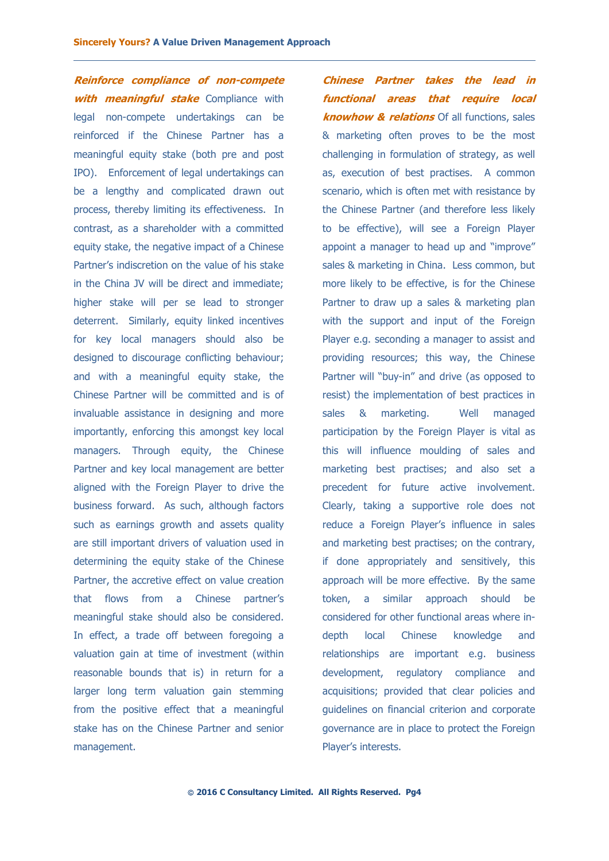Reinforce compliance of non-compete with meaningful stake Compliance with legal non-compete undertakings can be reinforced if the Chinese Partner has a meaningful equity stake (both pre and post IPO). Enforcement of legal undertakings can be a lengthy and complicated drawn out process, thereby limiting its effectiveness. In contrast, as a shareholder with a committed equity stake, the negative impact of a Chinese Partner's indiscretion on the value of his stake in the China JV will be direct and immediate; higher stake will per se lead to stronger deterrent. Similarly, equity linked incentives for key local managers should also be designed to discourage conflicting behaviour; and with a meaningful equity stake, the Chinese Partner will be committed and is of invaluable assistance in designing and more importantly, enforcing this amongst key local managers. Through equity, the Chinese Partner and key local management are better aligned with the Foreign Player to drive the business forward. As such, although factors such as earnings growth and assets quality are still important drivers of valuation used in determining the equity stake of the Chinese Partner, the accretive effect on value creation that flows from a Chinese partner's meaningful stake should also be considered. In effect, a trade off between foregoing a valuation gain at time of investment (within reasonable bounds that is) in return for a larger long term valuation gain stemming from the positive effect that a meaningful stake has on the Chinese Partner and senior management.

Chinese Partner takes the lead in functional areas that require local **knowhow & relations** Of all functions, sales & marketing often proves to be the most challenging in formulation of strategy, as well as, execution of best practises. A common scenario, which is often met with resistance by the Chinese Partner (and therefore less likely to be effective), will see a Foreign Player appoint a manager to head up and "improve" sales & marketing in China. Less common, but more likely to be effective, is for the Chinese Partner to draw up a sales & marketing plan with the support and input of the Foreign Player e.g. seconding a manager to assist and providing resources; this way, the Chinese Partner will "buy-in" and drive (as opposed to resist) the implementation of best practices in sales & marketing. Well managed participation by the Foreign Player is vital as this will influence moulding of sales and marketing best practises; and also set a precedent for future active involvement. Clearly, taking a supportive role does not reduce a Foreign Player's influence in sales and marketing best practises; on the contrary, if done appropriately and sensitively, this approach will be more effective. By the same token, a similar approach should be considered for other functional areas where indepth local Chinese knowledge and relationships are important e.g. business development, regulatory compliance and acquisitions; provided that clear policies and guidelines on financial criterion and corporate governance are in place to protect the Foreign Player's interests.